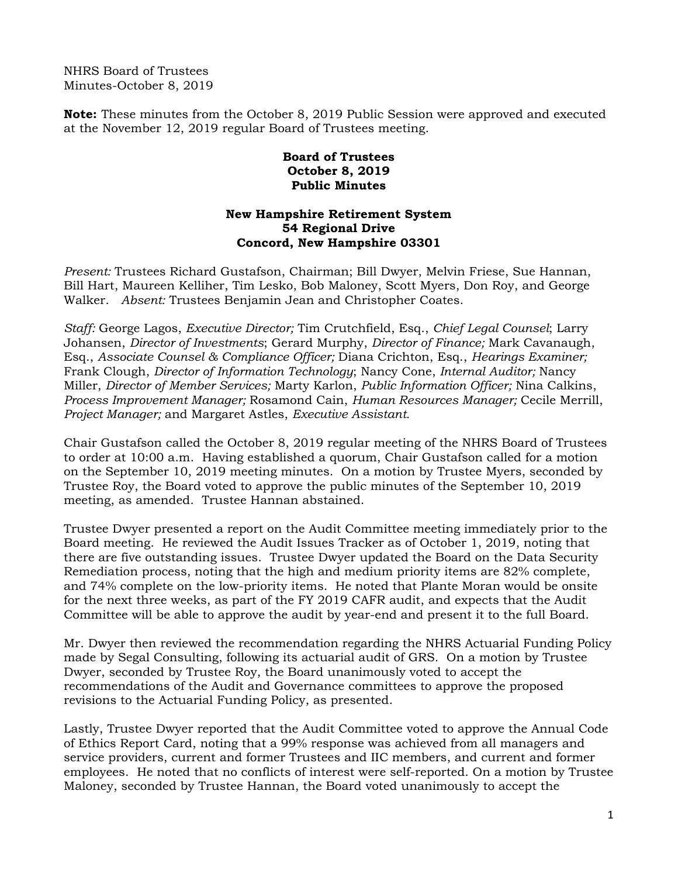NHRS Board of Trustees Minutes-October 8, 2019

**Note:** These minutes from the October 8, 2019 Public Session were approved and executed at the November 12, 2019 regular Board of Trustees meeting.

## **Board of Trustees October 8, 2019 Public Minutes**

## **New Hampshire Retirement System 54 Regional Drive Concord, New Hampshire 03301**

*Present:* Trustees Richard Gustafson, Chairman; Bill Dwyer, Melvin Friese, Sue Hannan, Bill Hart, Maureen Kelliher, Tim Lesko, Bob Maloney, Scott Myers, Don Roy, and George Walker. *Absent:* Trustees Benjamin Jean and Christopher Coates.

*Staff:* George Lagos, *Executive Director;* Tim Crutchfield, Esq., *Chief Legal Counsel*; Larry Johansen, *Director of Investments*; Gerard Murphy, *Director of Finance;* Mark Cavanaugh, Esq., *Associate Counsel & Compliance Officer;* Diana Crichton, Esq., *Hearings Examiner;* Frank Clough, *Director of Information Technology*; Nancy Cone, *Internal Auditor;* Nancy Miller, *Director of Member Services;* Marty Karlon, *Public Information Officer;* Nina Calkins, *Process Improvement Manager;* Rosamond Cain, *Human Resources Manager;* Cecile Merrill, *Project Manager;* and Margaret Astles, *Executive Assistant.* 

Chair Gustafson called the October 8, 2019 regular meeting of the NHRS Board of Trustees to order at 10:00 a.m. Having established a quorum, Chair Gustafson called for a motion on the September 10, 2019 meeting minutes. On a motion by Trustee Myers, seconded by Trustee Roy, the Board voted to approve the public minutes of the September 10, 2019 meeting, as amended. Trustee Hannan abstained.

Trustee Dwyer presented a report on the Audit Committee meeting immediately prior to the Board meeting. He reviewed the Audit Issues Tracker as of October 1, 2019, noting that there are five outstanding issues. Trustee Dwyer updated the Board on the Data Security Remediation process, noting that the high and medium priority items are 82% complete, and 74% complete on the low-priority items. He noted that Plante Moran would be onsite for the next three weeks, as part of the FY 2019 CAFR audit, and expects that the Audit Committee will be able to approve the audit by year-end and present it to the full Board.

Mr. Dwyer then reviewed the recommendation regarding the NHRS Actuarial Funding Policy made by Segal Consulting, following its actuarial audit of GRS. On a motion by Trustee Dwyer, seconded by Trustee Roy, the Board unanimously voted to accept the recommendations of the Audit and Governance committees to approve the proposed revisions to the Actuarial Funding Policy, as presented.

Lastly, Trustee Dwyer reported that the Audit Committee voted to approve the Annual Code of Ethics Report Card, noting that a 99% response was achieved from all managers and service providers, current and former Trustees and IIC members, and current and former employees. He noted that no conflicts of interest were self-reported. On a motion by Trustee Maloney, seconded by Trustee Hannan, the Board voted unanimously to accept the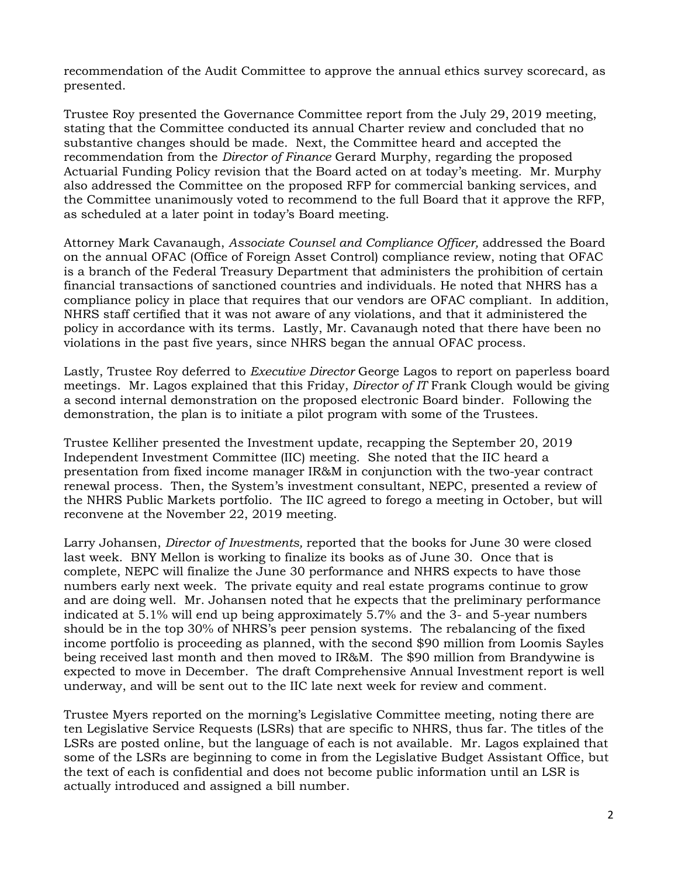recommendation of the Audit Committee to approve the annual ethics survey scorecard, as presented.

Trustee Roy presented the Governance Committee report from the July 29, 2019 meeting, stating that the Committee conducted its annual Charter review and concluded that no substantive changes should be made. Next, the Committee heard and accepted the recommendation from the *Director of Finance* Gerard Murphy, regarding the proposed Actuarial Funding Policy revision that the Board acted on at today's meeting. Mr. Murphy also addressed the Committee on the proposed RFP for commercial banking services, and the Committee unanimously voted to recommend to the full Board that it approve the RFP, as scheduled at a later point in today's Board meeting.

Attorney Mark Cavanaugh, *Associate Counsel and Compliance Officer,* addressed the Board on the annual OFAC (Office of Foreign Asset Control) compliance review, noting that OFAC is a branch of the Federal Treasury Department that administers the prohibition of certain financial transactions of sanctioned countries and individuals. He noted that NHRS has a compliance policy in place that requires that our vendors are OFAC compliant. In addition, NHRS staff certified that it was not aware of any violations, and that it administered the policy in accordance with its terms. Lastly, Mr. Cavanaugh noted that there have been no violations in the past five years, since NHRS began the annual OFAC process.

Lastly, Trustee Roy deferred to *Executive Director* George Lagos to report on paperless board meetings. Mr. Lagos explained that this Friday, *Director of IT* Frank Clough would be giving a second internal demonstration on the proposed electronic Board binder. Following the demonstration, the plan is to initiate a pilot program with some of the Trustees.

Trustee Kelliher presented the Investment update, recapping the September 20, 2019 Independent Investment Committee (IIC) meeting. She noted that the IIC heard a presentation from fixed income manager IR&M in conjunction with the two-year contract renewal process. Then, the System's investment consultant, NEPC, presented a review of the NHRS Public Markets portfolio. The IIC agreed to forego a meeting in October, but will reconvene at the November 22, 2019 meeting.

Larry Johansen, *Director of Investments,* reported that the books for June 30 were closed last week. BNY Mellon is working to finalize its books as of June 30. Once that is complete, NEPC will finalize the June 30 performance and NHRS expects to have those numbers early next week. The private equity and real estate programs continue to grow and are doing well. Mr. Johansen noted that he expects that the preliminary performance indicated at 5.1% will end up being approximately 5.7% and the 3- and 5-year numbers should be in the top 30% of NHRS's peer pension systems. The rebalancing of the fixed income portfolio is proceeding as planned, with the second \$90 million from Loomis Sayles being received last month and then moved to IR&M. The \$90 million from Brandywine is expected to move in December. The draft Comprehensive Annual Investment report is well underway, and will be sent out to the IIC late next week for review and comment.

Trustee Myers reported on the morning's Legislative Committee meeting, noting there are ten Legislative Service Requests (LSRs) that are specific to NHRS, thus far. The titles of the LSRs are posted online, but the language of each is not available. Mr. Lagos explained that some of the LSRs are beginning to come in from the Legislative Budget Assistant Office, but the text of each is confidential and does not become public information until an LSR is actually introduced and assigned a bill number.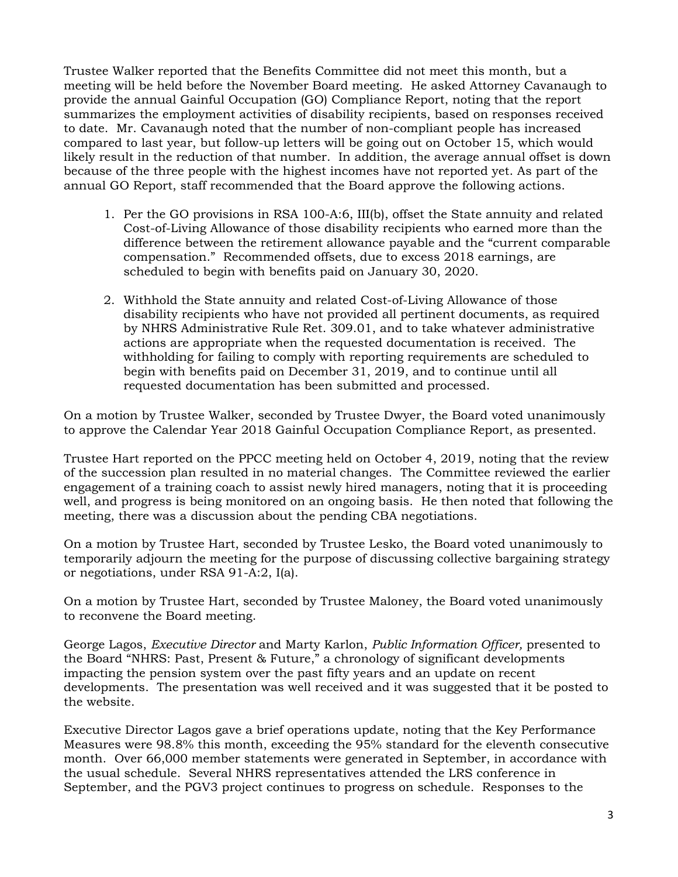Trustee Walker reported that the Benefits Committee did not meet this month, but a meeting will be held before the November Board meeting. He asked Attorney Cavanaugh to provide the annual Gainful Occupation (GO) Compliance Report, noting that the report summarizes the employment activities of disability recipients, based on responses received to date. Mr. Cavanaugh noted that the number of non-compliant people has increased compared to last year, but follow-up letters will be going out on October 15, which would likely result in the reduction of that number. In addition, the average annual offset is down because of the three people with the highest incomes have not reported yet. As part of the annual GO Report, staff recommended that the Board approve the following actions.

- 1. Per the GO provisions in RSA 100-A:6, III(b), offset the State annuity and related Cost-of-Living Allowance of those disability recipients who earned more than the difference between the retirement allowance payable and the "current comparable compensation." Recommended offsets, due to excess 2018 earnings, are scheduled to begin with benefits paid on January 30, 2020.
- 2. Withhold the State annuity and related Cost-of-Living Allowance of those disability recipients who have not provided all pertinent documents, as required by NHRS Administrative Rule Ret. 309.01, and to take whatever administrative actions are appropriate when the requested documentation is received. The withholding for failing to comply with reporting requirements are scheduled to begin with benefits paid on December 31, 2019, and to continue until all requested documentation has been submitted and processed.

On a motion by Trustee Walker, seconded by Trustee Dwyer, the Board voted unanimously to approve the Calendar Year 2018 Gainful Occupation Compliance Report, as presented.

Trustee Hart reported on the PPCC meeting held on October 4, 2019, noting that the review of the succession plan resulted in no material changes. The Committee reviewed the earlier engagement of a training coach to assist newly hired managers, noting that it is proceeding well, and progress is being monitored on an ongoing basis. He then noted that following the meeting, there was a discussion about the pending CBA negotiations.

On a motion by Trustee Hart, seconded by Trustee Lesko, the Board voted unanimously to temporarily adjourn the meeting for the purpose of discussing collective bargaining strategy or negotiations, under RSA 91-A:2, I(a).

On a motion by Trustee Hart, seconded by Trustee Maloney, the Board voted unanimously to reconvene the Board meeting.

George Lagos, *Executive Director* and Marty Karlon, *Public Information Officer,* presented to the Board "NHRS: Past, Present & Future," a chronology of significant developments impacting the pension system over the past fifty years and an update on recent developments. The presentation was well received and it was suggested that it be posted to the website.

Executive Director Lagos gave a brief operations update, noting that the Key Performance Measures were 98.8% this month, exceeding the 95% standard for the eleventh consecutive month. Over 66,000 member statements were generated in September, in accordance with the usual schedule. Several NHRS representatives attended the LRS conference in September, and the PGV3 project continues to progress on schedule. Responses to the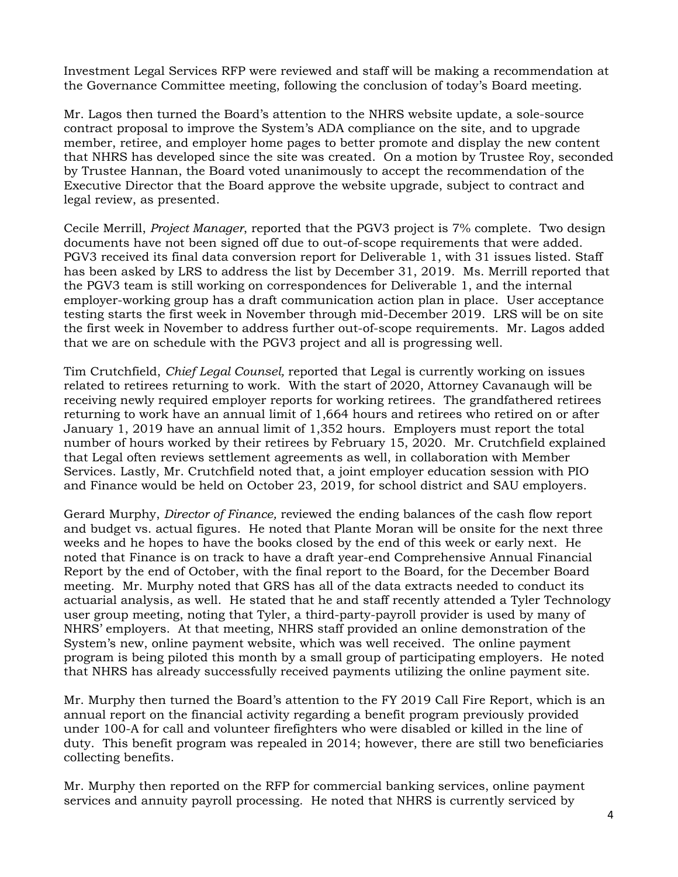Investment Legal Services RFP were reviewed and staff will be making a recommendation at the Governance Committee meeting, following the conclusion of today's Board meeting.

Mr. Lagos then turned the Board's attention to the NHRS website update, a sole-source contract proposal to improve the System's ADA compliance on the site, and to upgrade member, retiree, and employer home pages to better promote and display the new content that NHRS has developed since the site was created. On a motion by Trustee Roy, seconded by Trustee Hannan, the Board voted unanimously to accept the recommendation of the Executive Director that the Board approve the website upgrade, subject to contract and legal review, as presented.

Cecile Merrill, *Project Manager*, reported that the PGV3 project is 7% complete. Two design documents have not been signed off due to out-of-scope requirements that were added. PGV3 received its final data conversion report for Deliverable 1, with 31 issues listed. Staff has been asked by LRS to address the list by December 31, 2019. Ms. Merrill reported that the PGV3 team is still working on correspondences for Deliverable 1, and the internal employer-working group has a draft communication action plan in place. User acceptance testing starts the first week in November through mid-December 2019. LRS will be on site the first week in November to address further out-of-scope requirements. Mr. Lagos added that we are on schedule with the PGV3 project and all is progressing well.

Tim Crutchfield, *Chief Legal Counsel,* reported that Legal is currently working on issues related to retirees returning to work. With the start of 2020, Attorney Cavanaugh will be receiving newly required employer reports for working retirees. The grandfathered retirees returning to work have an annual limit of 1,664 hours and retirees who retired on or after January 1, 2019 have an annual limit of 1,352 hours. Employers must report the total number of hours worked by their retirees by February 15, 2020. Mr. Crutchfield explained that Legal often reviews settlement agreements as well, in collaboration with Member Services. Lastly, Mr. Crutchfield noted that, a joint employer education session with PIO and Finance would be held on October 23, 2019, for school district and SAU employers.

Gerard Murphy, *Director of Finance,* reviewed the ending balances of the cash flow report and budget vs. actual figures. He noted that Plante Moran will be onsite for the next three weeks and he hopes to have the books closed by the end of this week or early next. He noted that Finance is on track to have a draft year-end Comprehensive Annual Financial Report by the end of October, with the final report to the Board, for the December Board meeting. Mr. Murphy noted that GRS has all of the data extracts needed to conduct its actuarial analysis, as well. He stated that he and staff recently attended a Tyler Technology user group meeting, noting that Tyler, a third-party-payroll provider is used by many of NHRS' employers. At that meeting, NHRS staff provided an online demonstration of the System's new, online payment website, which was well received. The online payment program is being piloted this month by a small group of participating employers. He noted that NHRS has already successfully received payments utilizing the online payment site.

Mr. Murphy then turned the Board's attention to the FY 2019 Call Fire Report, which is an annual report on the financial activity regarding a benefit program previously provided under 100-A for call and volunteer firefighters who were disabled or killed in the line of duty. This benefit program was repealed in 2014; however, there are still two beneficiaries collecting benefits.

Mr. Murphy then reported on the RFP for commercial banking services, online payment services and annuity payroll processing. He noted that NHRS is currently serviced by